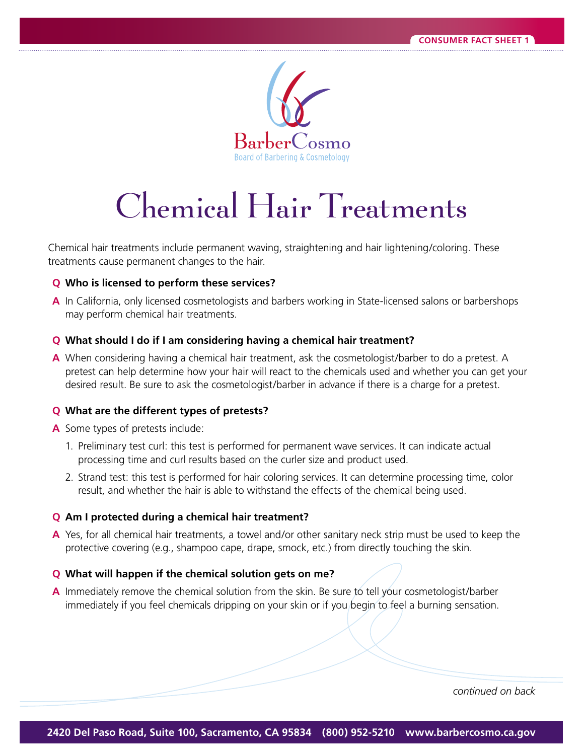

# Chemical Hair Treatments

Chemical hair treatments include permanent waving, straightening and hair lightening /coloring. These treatments cause permanent changes to the hair.

## **Q** Who is licensed to perform these services?

**A** In California, only licensed cosmetologists and barbers working in State-licensed salons or barbershops may perform chemical hair treatments.

#### **Q** What should I do if I am considering having a chemical hair treatment?

**A** When considering having a chemical hair treatment, ask the cosmetologist/barber to do a pretest. A pretest can help determine how your hair will react to the chemicals used and whether you can get your desired result. Be sure to ask the cosmetologist/barber in advance if there is a charge for a pretest.

#### **Q** What are the different types of pretests?

- **A** Some types of pretests include:
	- 1. Preliminary test curl: this test is performed for permanent wave services. It can indicate actual processing time and curl results based on the curler size and product used.
	- 2. Strand test: this test is performed for hair coloring services. It can determine processing time, color result, and whether the hair is able to withstand the effects of the chemical being used.

#### **Q** Am I protected during a chemical hair treatment?

**A** Yes, for all chemical hair treatments, a towel and/or other sanitary neck strip must be used to keep the protective covering (e.g., shampoo cape, drape, smock, etc.) from directly touching the skin.

#### **Q** What will happen if the chemical solution gets on me?

A Immediately remove the chemical solution from the skin. Be sure to tell your cosmetologist/barber immediately if you feel chemicals dripping on your skin or if you begin to feel a burning sensation.

*continued on back*